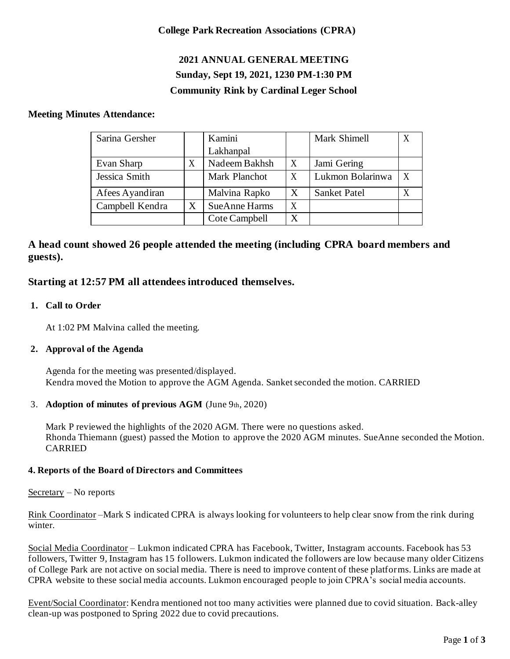## **College Park Recreation Associations (CPRA)**

# **2021 ANNUAL GENERAL MEETING Sunday, Sept 19, 2021, 1230 PM-1:30 PM Community Rink by Cardinal Leger School**

#### **Meeting Minutes Attendance:**

| Sarina Gersher  |  | Kamini               |   | Mark Shimell        |  |
|-----------------|--|----------------------|---|---------------------|--|
|                 |  | Lakhanpal            |   |                     |  |
| Evan Sharp      |  | Nadeem Bakhsh        | X | Jami Gering         |  |
| Jessica Smith   |  | Mark Planchot        | X | Lukmon Bolarinwa    |  |
| Afees Ayandiran |  | Malvina Rapko        | X | <b>Sanket Patel</b> |  |
| Campbell Kendra |  | <b>SueAnne Harms</b> | X |                     |  |
|                 |  | Cote Campbell        | X |                     |  |

# **A head count showed 26 people attended the meeting (including CPRA board members and guests).**

# **Starting at 12:57 PM all attendees introduced themselves.**

#### **1. Call to Order**

At 1:02 PM Malvina called the meeting.

#### **2. Approval of the Agenda**

Agenda for the meeting was presented/displayed. Kendra moved the Motion to approve the AGM Agenda. Sanket seconded the motion. CARRIED

#### 3. **Adoption of minutes of previous AGM** (June 9th, 2020)

Mark P reviewed the highlights of the 2020 AGM. There were no questions asked. Rhonda Thiemann (guest) passed the Motion to approve the 2020 AGM minutes. SueAnne seconded the Motion. CARRIED

#### **4. Reports of the Board of Directors and Committees**

Secretary – No reports

Rink Coordinator –Mark S indicated CPRA is always looking for volunteers to help clear snow from the rink during winter.

Social Media Coordinator – Lukmon indicated CPRA has Facebook, Twitter, Instagram accounts. Facebook has 53 followers, Twitter 9, Instagram has 15 followers. Lukmon indicated the followers are low because many older Citizens of College Park are not active on social media. There is need to improve content of these platforms. Links are made at CPRA website to these social media accounts. Lukmon encouraged people to join CPRA's social media accounts.

Event/Social Coordinator: Kendra mentioned not too many activities were planned due to covid situation. Back-alley clean-up was postponed to Spring 2022 due to covid precautions.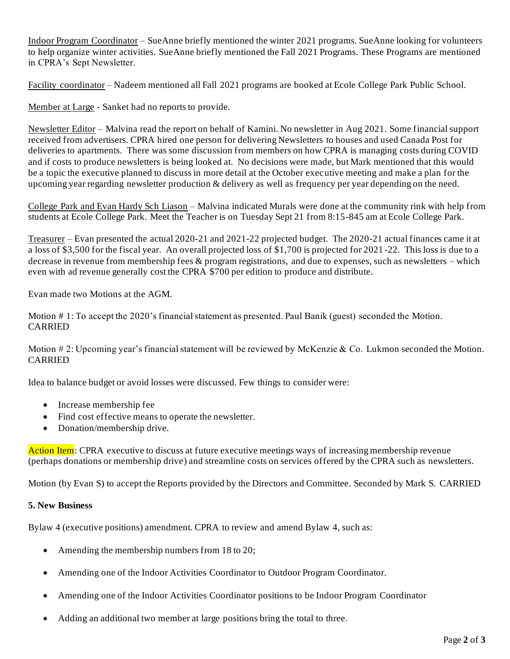Indoor Program Coordinator – SueAnne briefly mentioned the winter 2021 programs. SueAnne looking for volunteers to help organize winter activities. SueAnne briefly mentioned the Fall 2021 Programs. These Programs are mentioned in CPRA's Sept Newsletter.

Facility coordinator – Nadeem mentioned all Fall 2021 programs are booked at Ecole College Park Public School.

Member at Large - Sanket had no reports to provide.

Newsletter Editor – Malvina read the report on behalf of Kamini. No newsletter in Aug 2021. Some financial support received from advertisers. CPRA hired one person for delivering Newsletters to houses and used Canada Post for deliveries to apartments. There was some discussion from members on how CPRA is managing costs during COVID and if costs to produce newsletters is being looked at. No decisions were made, but Mark mentioned that this would be a topic the executive planned to discuss in more detail at the October executive meeting and make a plan for the upcoming year regarding newsletter production & delivery as well as frequency per year depending on the need.

College Park and Evan Hardy Sch Liason – Malvina indicated Murals were done at the community rink with help from students at Ecole College Park. Meet the Teacher is on Tuesday Sept 21 from 8:15-845 am at Ecole College Park.

Treasurer – Evan presented the actual 2020-21 and 2021-22 projected budget. The 2020-21 actual finances came it at a loss of \$3,500 for the fiscal year. An overall projected loss of \$1,700 is projected for 2021 -22. This loss is due to a decrease in revenue from membership fees & program registrations, and due to expenses, such as newsletters – which even with ad revenue generally cost the CPRA \$700 per edition to produce and distribute.

Evan made two Motions at the AGM.

Motion # 1: To accept the 2020's financial statement as presented. Paul Banik (guest) seconded the Motion. CARRIED

Motion # 2: Upcoming year's financial statement will be reviewed by McKenzie & Co. Lukmon seconded the Motion. CARRIED

Idea to balance budget or avoid losses were discussed. Few things to consider were:

- Increase membership fee
- Find cost effective means to operate the newsletter.
- Donation/membership drive.

Action Item: CPRA executive to discuss at future executive meetings ways of increasing membership revenue (perhaps donations or membership drive) and streamline costs on services offered by the CPRA such as newsletters.

Motion (by Evan S) to accept the Reports provided by the Directors and Committee. Seconded by Mark S. CARRIED

#### **5. New Business**

Bylaw 4 (executive positions) amendment. CPRA to review and amend Bylaw 4, such as:

- Amending the membership numbers from 18 to 20;
- Amending one of the Indoor Activities Coordinator to Outdoor Program Coordinator.
- Amending one of the Indoor Activities Coordinator positions to be Indoor Program Coordinator
- Adding an additional two member at large positions bring the total to three.